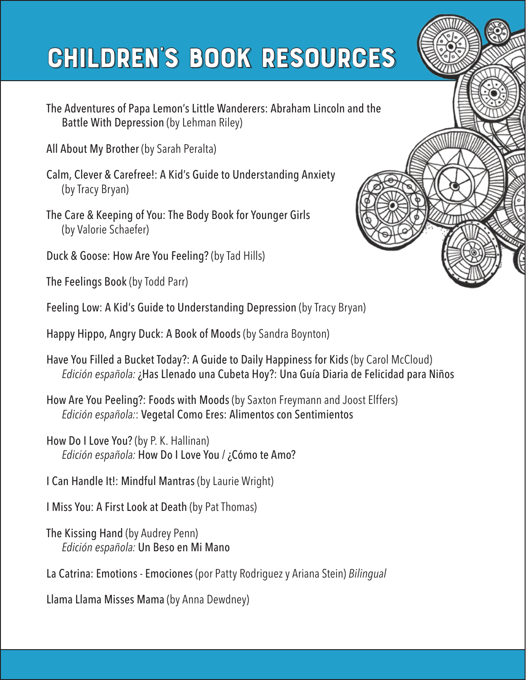## **CHILDREN'S BOOK RESOURCES**

- The Adventures of Papa Lemon's Little Wanderers: Abraham Lincoln and the Battle With Depression (by Lehman Riley)
- All About My Brother (by Sarah Peralta)
- Calm, Clever & Carefree!: A Kid's Guide to Understanding Anxiety (by Tracy Bryan)
- The Care & Keeping of You: The Body Book for Younger Girls (by Valorie Schaefer)
- Duck & Goose: How Are You Feeling? (by Tad Hills)
- The Feelings Book (by Todd Parr)
- Feeling Low: A Kid's Guide to Understanding Depression (by Tracy Bryan)
- Happy Hippo, Angry Duck: A Book of Moods (by Sandra Boynton)
- Have You Filled a Bucket Today?: A Guide to Daily Happiness for Kids (by Carol McCloud) *Edición española:* ¿Has Llenado una Cubeta Hoy?: Una Guía Diaria de Felicidad para Niños
- How Are You Peeling?: Foods with Moods (by Saxton Freymann and Joost Elffers) *Edición española:*: Vegetal Como Eres: Alimentos con Sentimientos
- How Do I Love You? (by P. K. Hallinan) *Edición española:* How Do I Love You / ¿Cómo te Amo?
- I Can Handle It!: Mindful Mantras (by Laurie Wright)
- I Miss You: A First Look at Death (by Pat Thomas)
- The Kissing Hand (by Audrey Penn) *Edición española:* Un Beso en Mi Mano
- La Catrina: Emotions Emociones (por Patty Rodriguez y Ariana Stein) *Bilingual*
- Llama Llama Misses Mama (by Anna Dewdney)